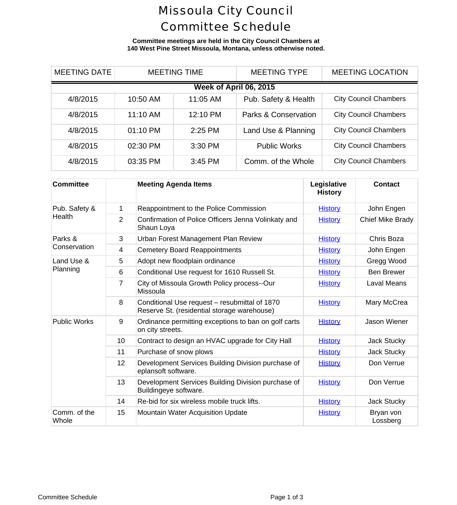## Missoula City Council Committee Schedule

**Committee meetings are held in the City Council Chambers at 140 West Pine Street Missoula, Montana, unless otherwise noted.**

| <b>MEETING DATE</b>    | <b>MEETING TIME</b> |          | <b>MEETING TYPE</b>             | <b>MEETING LOCA</b>      |  |  |  |
|------------------------|---------------------|----------|---------------------------------|--------------------------|--|--|--|
| Week of April 06, 2015 |                     |          |                                 |                          |  |  |  |
| 4/8/2015               | 10:50 AM            | 11:05 AM | Pub. Safety & Health            | <b>City Council Cham</b> |  |  |  |
| 4/8/2015               | 11:10 AM            | 12:10 PM | <b>Parks &amp; Conservation</b> | <b>City Council Cham</b> |  |  |  |
| 4/8/2015               | 01:10 PM            | 2:25 PM  | Land Use & Planning             | <b>City Council Cham</b> |  |  |  |
| 4/8/2015               | 02:30 PM            | 3:30 PM  | <b>Public Works</b>             | <b>City Council Cham</b> |  |  |  |
| 4/8/2015               | 03:35 PM            | 3:45 PM  | Comm. of the Whole              | <b>City Council Cham</b> |  |  |  |

| <b>Committee</b>        |                | <b>Meeting Agenda Items</b>                                                                  | Legislative<br><b>History</b> | Cont                  |
|-------------------------|----------------|----------------------------------------------------------------------------------------------|-------------------------------|-----------------------|
| Pub. Safety &<br>Health | 1              | Reappointment to the Police Commission                                                       | <b>History</b>                | John El               |
|                         | $\overline{2}$ | Confirmation of Police Officers Jenna Volinkaty and<br>Shaun Loya                            | <b>History</b>                | <b>Chief Mike</b>     |
| Parks &<br>Conservation | 3              | Urban Forest Management Plan Review                                                          | <b>History</b>                | Chris B               |
|                         | 4              | <b>Cemetery Board Reappointments</b>                                                         | <b>History</b>                | John E                |
| Land Use &<br>Planning  | 5              | Adopt new floodplain ordinance                                                               | <b>History</b>                | Gregg \               |
|                         | 6              | Conditional Use request for 1610 Russell St.                                                 | <b>History</b>                | Ben Br                |
|                         | $\overline{7}$ | City of Missoula Growth Policy process--Our<br>Missoula                                      | <b>History</b>                | Laval M               |
|                         | 8              | Conditional Use request - resubmittal of 1870<br>Reserve St. (residential storage warehouse) | <b>History</b>                | Mary Mo               |
| <b>Public Works</b>     | 9              | Ordinance permitting exceptions to ban on golf carts<br>on city streets.                     | <b>History</b>                | Jason W               |
|                         | 10             | Contract to design an HVAC upgrade for City Hall                                             | <b>History</b>                | Jack St               |
|                         | 11             | Purchase of snow plows                                                                       | <b>History</b>                | Jack St               |
|                         | 12             | Development Services Building Division purchase of<br>eplansoft software.                    | <b>History</b>                | Don Ve                |
|                         | 13             | Development Services Building Division purchase of<br>Buildingeye software.                  | <b>History</b>                | Don Ve                |
|                         | 14             | Re-bid for six wireless mobile truck lifts.                                                  | <b>History</b>                | Jack St               |
| Comm. of the<br>Whole   | 15             | <b>Mountain Water Acquisition Update</b>                                                     | <b>History</b>                | <b>Bryan</b><br>Lossb |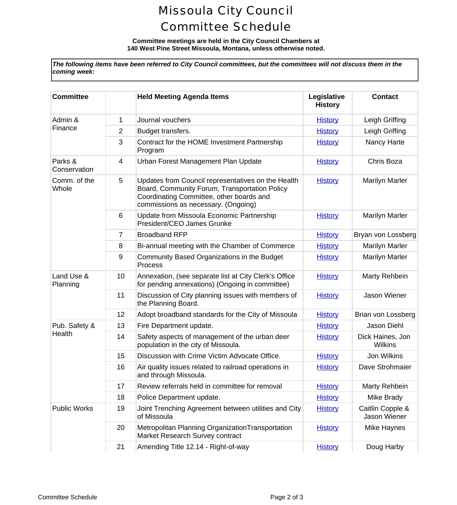## Missoula City Council Committee Schedule

## **Committee meetings are held in the City Council Chambers at 140 West Pine Street Missoula, Montana, unless otherwise noted.**

The following items have been referred to City Council committees, but the committees will not discuss them in *coming week:*

| <b>Committee</b>        |                | <b>Held Meeting Agenda Items</b>                                                                                                                                                       | Legislative<br><b>History</b> | Conta                       |
|-------------------------|----------------|----------------------------------------------------------------------------------------------------------------------------------------------------------------------------------------|-------------------------------|-----------------------------|
| Admin &<br>Finance      | 1              | Journal vouchers                                                                                                                                                                       | <b>History</b>                | Leigh Gr                    |
|                         | $\overline{2}$ | Budget transfers.                                                                                                                                                                      | <b>History</b>                | Leigh Gr                    |
|                         | 3              | Contract for the HOME Investment Partnership<br>Program                                                                                                                                | <b>History</b>                | Nancy H                     |
| Parks &<br>Conservation | 4              | Urban Forest Management Plan Update                                                                                                                                                    | <b>History</b>                | Chris B                     |
| Comm. of the<br>Whole   | 5              | Updates from Council representatives on the Health<br>Board, Community Forum, Transportation Policy<br>Coordinating Committee, other boards and<br>commissions as necessary. (Ongoing) | <b>History</b>                | Marilyn N                   |
|                         | 6              | Update from Missoula Economic Partnership<br>President/CEO James Grunke                                                                                                                | <b>History</b>                | Marilyn N                   |
|                         | $\overline{7}$ | <b>Broadband RFP</b>                                                                                                                                                                   | <b>History</b>                | Bryan von L                 |
|                         | 8              | Bi-annual meeting with the Chamber of Commerce                                                                                                                                         | <b>History</b>                | Marilyn N                   |
|                         | 9              | Community Based Organizations in the Budget<br>Process                                                                                                                                 | <b>History</b>                | Marilyn N                   |
| Land Use &<br>Planning  | 10             | Annexation, (see separate list at City Clerk's Office<br>for pending annexations) (Ongoing in committee)                                                                               | <b>History</b>                | Marty Re                    |
|                         | 11             | Discussion of City planning issues with members of<br>the Planning Board.                                                                                                              | <b>History</b>                | Jason W                     |
|                         | 12             | Adopt broadband standards for the City of Missoula                                                                                                                                     | <b>History</b>                | Brian von L                 |
| Pub. Safety &           | 13             | Fire Department update.                                                                                                                                                                | <b>History</b>                | Jason D                     |
| Health                  | 14             | Safety aspects of management of the urban deer<br>population in the city of Missoula.                                                                                                  | <b>History</b>                | <b>Dick Haine</b><br>Wilkir |
|                         | 15             | Discussion with Crime Victim Advocate Office.                                                                                                                                          | <b>History</b>                | Jon Wil                     |
|                         | 16             | Air quality issues related to railroad operations in<br>and through Missoula.                                                                                                          | <b>History</b>                | Dave Stro                   |
|                         | 17             | Review referrals held in committee for removal                                                                                                                                         | <b>History</b>                | Marty Re                    |
|                         | 18             | Police Department update.                                                                                                                                                              | <b>History</b>                | Mike Br                     |
| <b>Public Works</b>     | 19             | Joint Trenching Agreement between utilities and City<br>of Missoula                                                                                                                    | <b>History</b>                | Caitlin Cor<br>Jason W      |
|                         | 20             | Metropolitan Planning Organization Transportation<br>Market Research Survey contract                                                                                                   | <b>History</b>                | Mike Ha                     |
|                         | 21             | Amending Title 12.14 - Right-of-way                                                                                                                                                    | <b>History</b>                | Doug H                      |